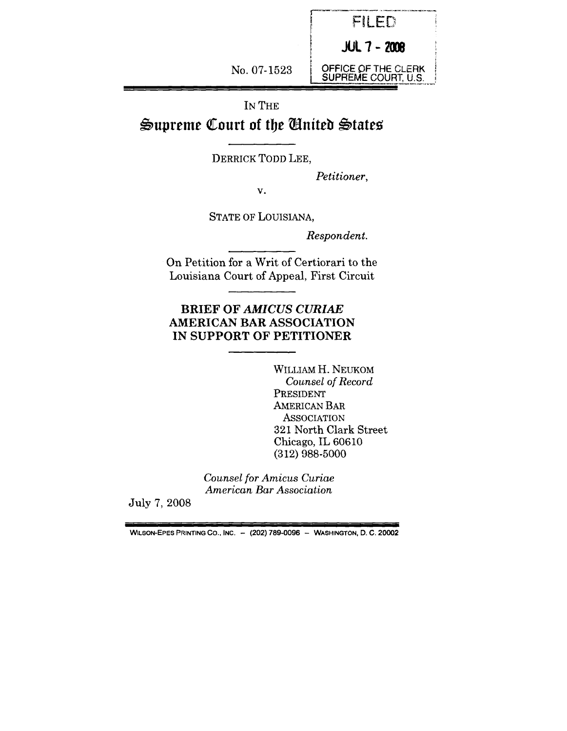

|--|--|

# $\triangleq$ upreme Court of the *Cnited* States

DERRICK TODD LEE,

*Petitioner,*

v.

STATE OF LOUISIANA,

*Respondent.*

On Petition for a Writ of Certiorari to the Louisiana Court of Appeal, First Circuit

## **BRIEF OF** *AMICUS CURIAE* **AMERICAN BAR ASSOCIATION IN SUPPORT OF PETITIONER**

WILLIAM H. NEUKOM *Counsel of Record* PRESIDENT AMERICAN BAR **ASSOCIATION** 321 North Clark Street Chicago, IL 60610 (312) 988-5000

*Counsel for Amicus Curiae American Bar Association*

July 7, 2008

WILSON-EPES PRINTING CO., INC. - (202) 789-0096 - WASHINGTON, D. C. 20002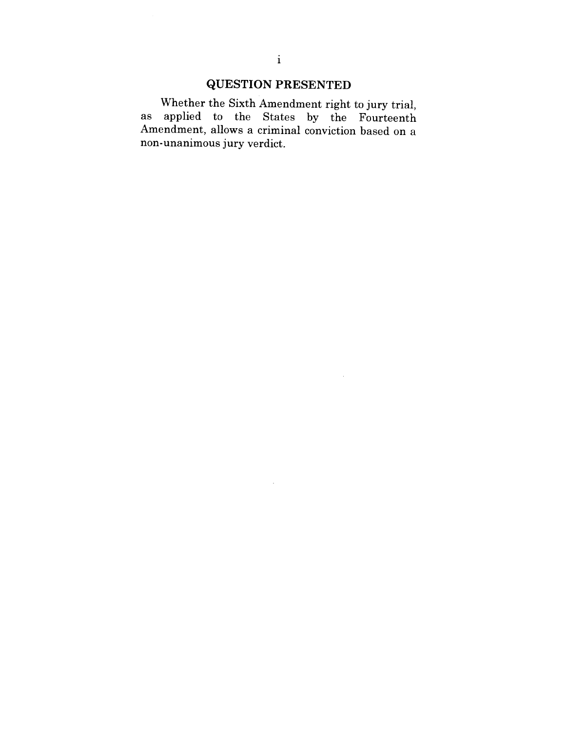## **QUESTION PRESENTED**

Whether the Sixth Amendment right to jury trial, as applied to the States by the Fourteenth Amendment, allows a criminal conviction based on a non-unanimous jury verdict.

 $\sim$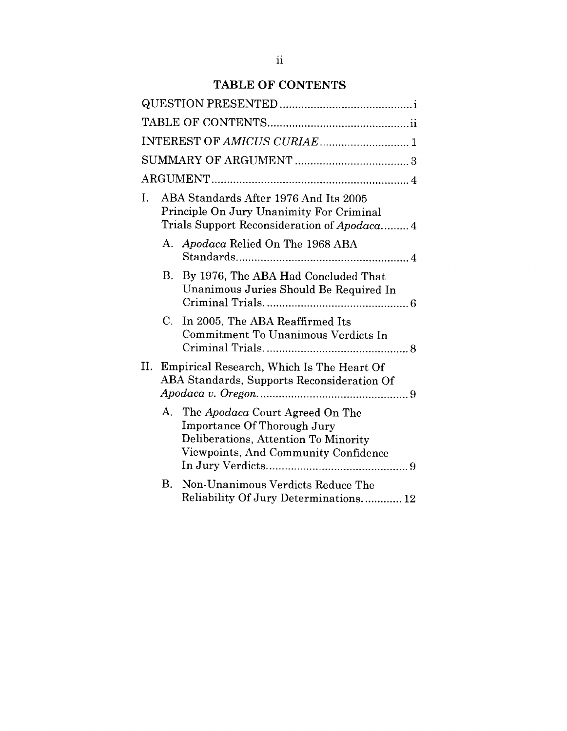## **TABLE OF CONTENTS**

|    | INTEREST OF AMICUS CURIAE 1                                                                                                                          |
|----|------------------------------------------------------------------------------------------------------------------------------------------------------|
|    |                                                                                                                                                      |
|    |                                                                                                                                                      |
| I. | ABA Standards After 1976 And Its 2005<br>Principle On Jury Unanimity For Criminal<br>Trials Support Reconsideration of Apodaca 4                     |
|    | Apodaca Relied On The 1968 ABA<br>A.                                                                                                                 |
|    | В.<br>By 1976, The ABA Had Concluded That<br>Unanimous Juries Should Be Required In                                                                  |
| C. | In 2005, The ABA Reaffirmed Its<br>Commitment To Unanimous Verdicts In                                                                               |
| Н. | Empirical Research, Which Is The Heart Of<br>ABA Standards, Supports Reconsideration Of                                                              |
|    | A.<br>The Apodaca Court Agreed On The<br>Importance Of Thorough Jury<br>Deliberations, Attention To Minority<br>Viewpoints, And Community Confidence |
| Β. | Non-Unanimous Verdicts Reduce The<br>Reliability Of Jury Determinations 12                                                                           |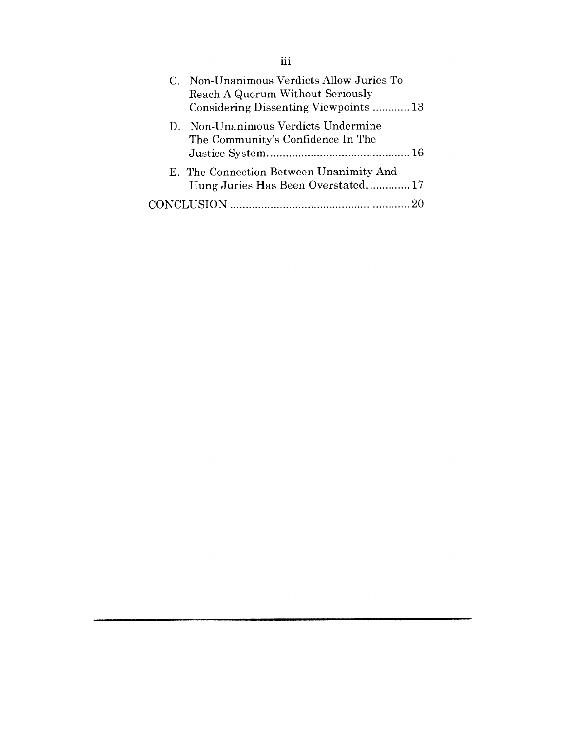| C. Non-Unanimous Verdicts Allow Juries To<br>Reach A Quorum Without Seriously<br>Considering Dissenting Viewpoints 13 |  |
|-----------------------------------------------------------------------------------------------------------------------|--|
| D. Non-Unanimous Verdicts Undermine<br>The Community's Confidence In The                                              |  |
| E. The Connection Between Unanimity And<br>Hung Juries Has Been Overstated 17                                         |  |
|                                                                                                                       |  |

 $\mathcal{L}^{\text{max}}_{\text{max}}$  and  $\mathcal{L}^{\text{max}}_{\text{max}}$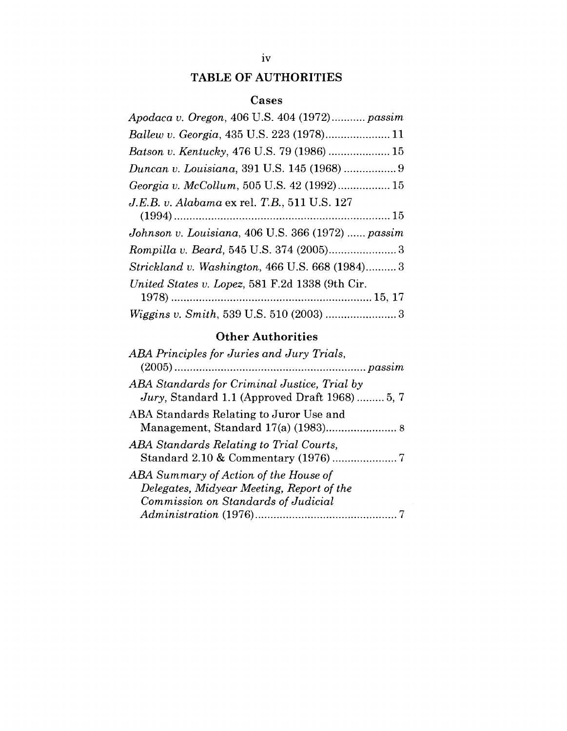## **TABLE OF AUTHORITIES**

### **Cases**

| Apodaca v. Oregon, 406 U.S. 404 (1972) passim     |
|---------------------------------------------------|
|                                                   |
| Batson v. Kentucky, 476 U.S. 79 (1986)  15        |
|                                                   |
| Georgia v. McCollum, 505 U.S. 42 (1992) 15        |
| J.E.B. v. Alabama ex rel. T.B., 511 U.S. 127      |
|                                                   |
| Johnson v. Louisiana, 406 U.S. 366 (1972)  passim |
|                                                   |
| Strickland v. Washington, 466 U.S. 668 (1984) 3   |
| United States v. Lopez, 581 F.2d 1338 (9th Cir.   |
|                                                   |
| Wiggins v. Smith, 539 U.S. 510 (2003)  3          |

## Other Authorities

| ABA Principles for Juries and Jury Trials,                                                                                |
|---------------------------------------------------------------------------------------------------------------------------|
|                                                                                                                           |
| ABA Standards for Criminal Justice, Trial by<br>Jury, Standard 1.1 (Approved Draft 1968)  5, 7                            |
| ABA Standards Relating to Juror Use and                                                                                   |
| ABA Standards Relating to Trial Courts,                                                                                   |
| ABA Summary of Action of the House of<br>Delegates, Midyear Meeting, Report of the<br>Commission on Standards of Judicial |
|                                                                                                                           |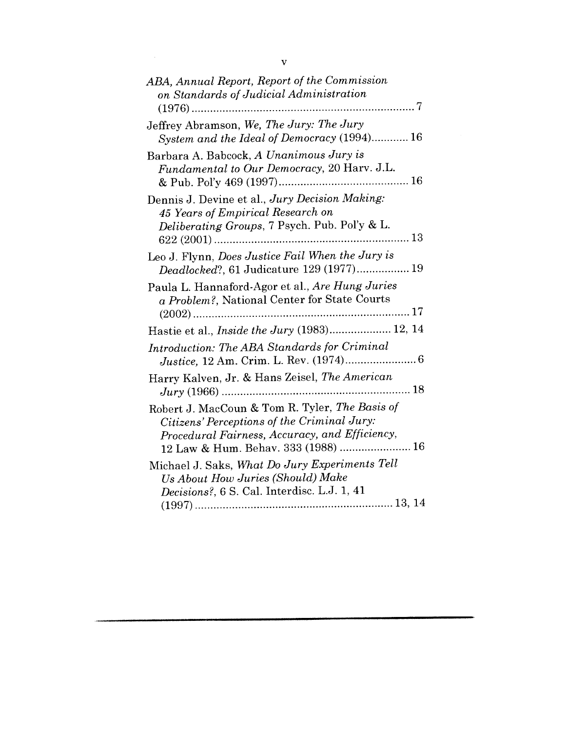| ABA, Annual Report, Report of the Commission<br>on Standards of Judicial Administration<br>. 7                                                                                         |
|----------------------------------------------------------------------------------------------------------------------------------------------------------------------------------------|
| Jeffrey Abramson, We, The Jury: The Jury<br>System and the Ideal of Democracy (1994) 16                                                                                                |
| Barbara A. Babcock, A Unanimous Jury is<br>Fundamental to Our Democracy, 20 Harv. J.L.                                                                                                 |
| Dennis J. Devine et al., Jury Decision Making:<br>45 Years of Empirical Research on<br>Deliberating Groups, 7 Psych. Pub. Pol'y & L.                                                   |
| Leo J. Flynn, Does Justice Fail When the Jury is<br>Deadlocked?, 61 Judicature 129 (1977) 19                                                                                           |
| Paula L. Hannaford-Agor et al., Are Hung Juries<br>a Problem?, National Center for State Courts                                                                                        |
| Hastie et al., <i>Inside the Jury</i> (1983) 12, 14                                                                                                                                    |
| Introduction: The ABA Standards for Criminal                                                                                                                                           |
| Harry Kalven, Jr. & Hans Zeisel, The American                                                                                                                                          |
| Robert J. MacCoun & Tom R. Tyler, The Basis of<br>Citizens' Perceptions of the Criminal Jury:<br>Procedural Fairness, Accuracy, and Efficiency,<br>12 Law & Hum. Behav. 333 (1988)  16 |
| Michael J. Saks, What Do Jury Experiments Tell<br>Us About How Juries (Should) Make<br>Decisions?, 6 S. Cal. Interdisc. L.J. 1, 41                                                     |
|                                                                                                                                                                                        |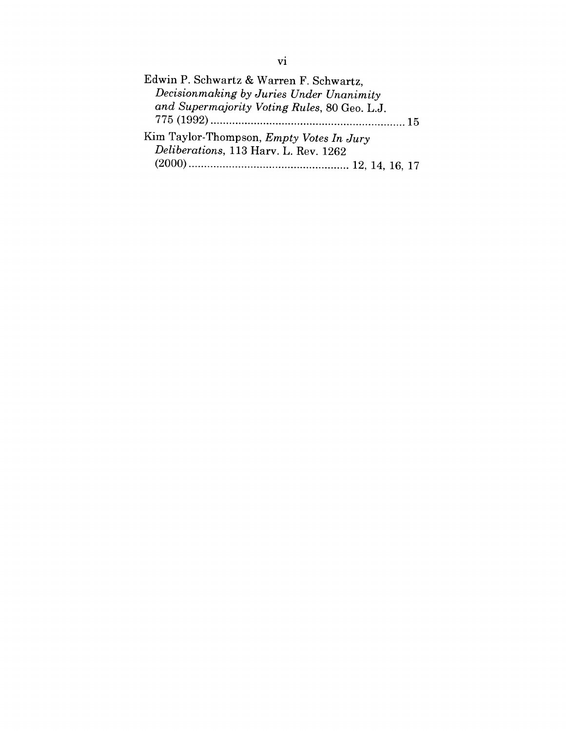Edwin P. Schwartz & Warren F. Schwartz, *Decisionmaking by Juries Under Unanimity and Supermajority Voting Rules,* 80 Geo. L.J. 775 (1992) ...............................................................15 Kim Taylor-Thompson, *Empty Votes In Jury Deliberations,* 113 Harv. L. Rev. 1262 (2000) .................................................... 12, 14, 16, 17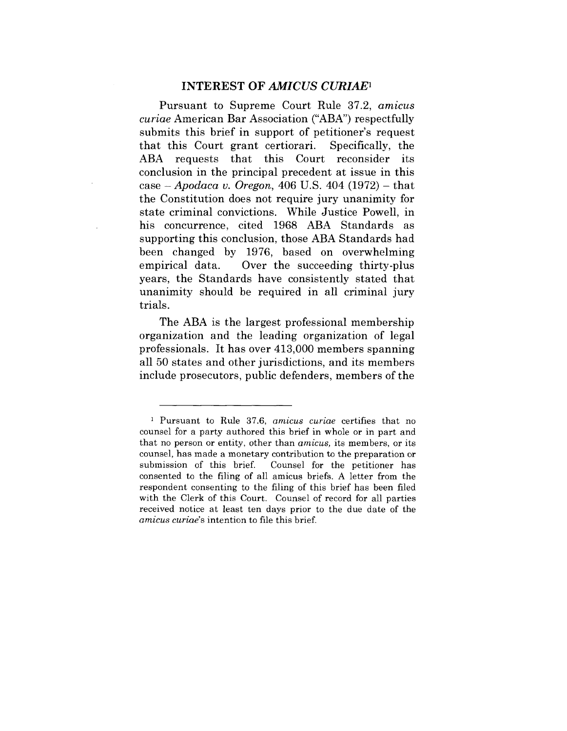#### INTEREST OF *AMICUS CURIAE1*

Pursuant to Supreme Court Rule 37.2, *amicus curiae* American Bar Association ("ABA") respectfully submits this brief in support of petitioner's request that this Court grant certiorari. Specifically, the ABA requests that this Court reconsider its conclusion in the principal precedent at issue in this case - *Apodaca v. Oregon,* 406 U.S. 404 (1972) - that the Constitution does not require jury unanimity for state criminal convictions. While Justice Powell, in his concurrence, cited 1968 ABA Standards as supporting this conclusion, those ABA Standards had been changed by 1976, based on overwhelming empirical data. Over the succeeding thirty-plus years, the Standards have consistently stated that unanimity should be required in all criminal jury trials.

The ABA is the largest professional membership organization and the leading organization of legal professionals. It has over 413,000 members spanning all 50 states and other jurisdictions, and its members include prosecutors, public defenders, members of the

<sup>~</sup> Pursuant to Rule 37.6, *amicus curiae* certifies that no counsel for a party authored this brief in whole or in part and that no person or entity, other than *amicus,* its members, or its counsel, has made a monetary contribution to the preparation or submission of this brief. Counsel for the petitioner has consented to the filing of all amicus briefs. A letter from the respondent consenting to the filing of this brief has been filed with the Clerk of this Court. Counsel of record for all parties received notice at least ten days prior to the due date of the *amicus curiae's* intention to file this brief.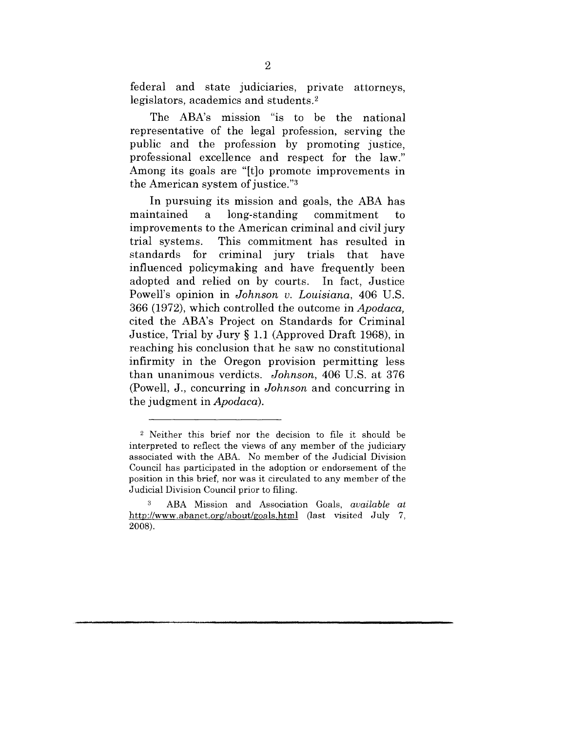federal and state judiciaries, private attorneys, legislators, academics and students.2

The ABA's mission "is to be the national representative of the legal profession, serving the public and the profession by promoting justice, professional excellence and respect for the law." Among its goals are "[t]o promote improvements in the American system of justice." $3$ 

In pursuing its mission and goals, the ABA has maintained a long-standing commitment to improvements to the American criminal and civil jury trial systems. This commitment has resulted in standards for criminal jury trials that have influenced policymaking and have frequently been adopted and relied on by courts. In fact, Justice Powell's opinion in *Johnson v. Louisiana,* 406 U.S. 366 (1972), which controlled the outcome in *Apodaca,* cited the ABA's Project on Standards for Criminal Justice, Trial by Jury § 1.1 (Approved Draft 1968), in reaching his conclusion that he saw no constitutional infirmity in the Oregon provision permitting less than unanimous verdicts. *Johnson,* 406 U.S. at 376 (Powell, J., concurring in *Johnson* and concurring in the judgment in *Apodaca).*

<sup>2</sup> Neither this brief nor the decision to file it should be interpreted to reflect the views of any member of the judiciary associated with the ABA. No member of the Judicial Division Council has participated in the adoption or endorsement of the position in this brief, nor was it circulated to any member of the Judicial Division Council prior to filing.

<sup>3</sup> ABA Mission and Association Goals, *available at http://www.abanet.org/about/goals.html* (last visited July 7, 2oos).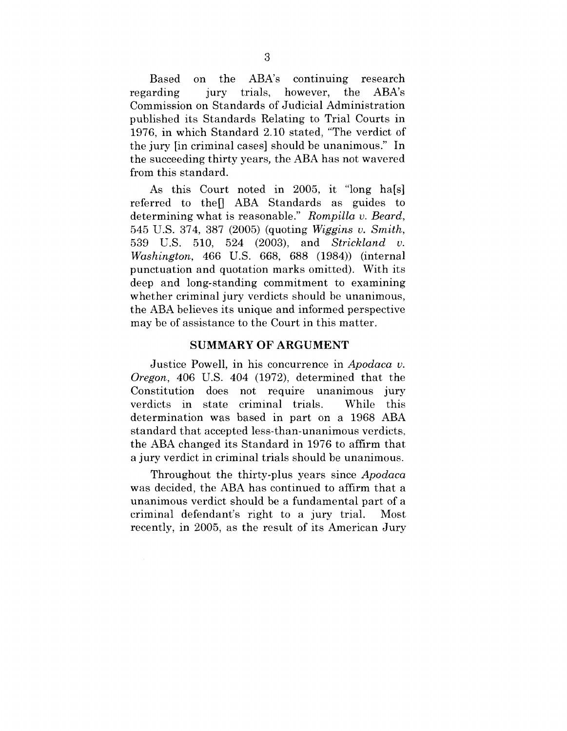Based on the  $ABA's$  continuing research regarding jury trials, however, the  $ABA's$ Commission on Standards of Judicial Administration published its Standards Relating to Trial Courts in 1976, in which Standard 2.10 stated, "The verdict of the jury [in criminal cases] should be unanimous." In the succeeding thirty years, the ABA has not wavered from this standard.

As this Court noted in 2005, it "long ha[s] referred to the R ABA Standards as guides to determining what is reasonable." *Rompilla v. Beard,* 545 U.S. 374, 387 (2005) (quoting *Wiggins v. Smith,* 539 U.S. 510, 524 (2003), and *Strickland v. Washington,* 466 U.S. 668, 688 (1984)) (internal punctuation and quotation marks omitted). With its deep and long-standing commitment to examining whether criminal jury verdicts should be unanimous, the ABA believes its unique and informed perspective may be of assistance to the Court in this matter.

#### **SUMMARY OF ARGUMENT**

Justice Powell, in his concurrence in *Apodaca v. Oregon,* 406 U.S. 404 (1972), determined that the Constitution does not require unanimous jury verdicts in state criminal trials. While this determination was based in part on a 1968 ABA standard that accepted less-than-unanimous verdicts, the ABA changed its Standard in 1976 to affirm that a jury verdict in criminal trials should be unanimous.

Throughout the thirty-plus years since *Apodaca* was decided, the ABA has continued to affirm that a unanimous verdict should be a fundamental part of a criminal defendant's right to a jury trial. Most recently, in 2005, as the result of its American Jury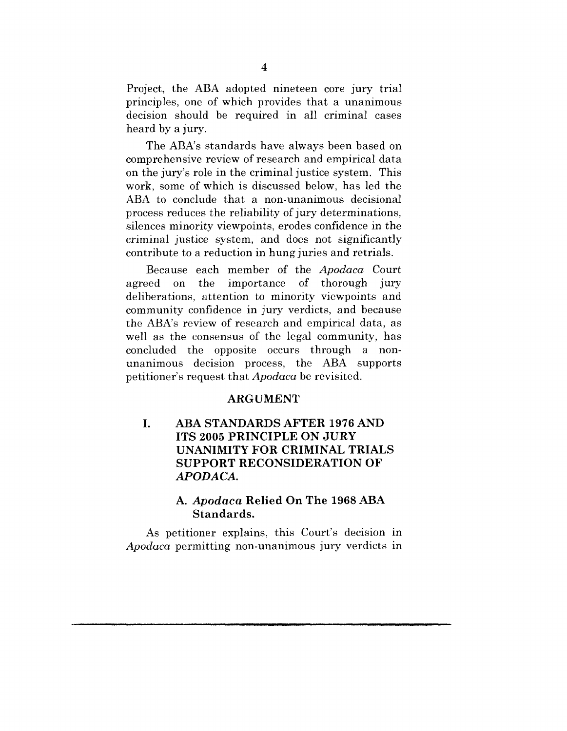Project, the ABA adopted nineteen core jury trial principles, one of which provides that a unanimous decision should be required in all criminal cases heard by a jury.

The ABA's standards have always been based on comprehensive review of research and empirical data on the jury's role in the criminal justice system. This work, some of which is discussed below, has led the ABA to conclude that a non-unanimous decisional process reduces the reliability of jury determinations, silences minority viewpoints, erodes confidence in the criminal justice system, and does not significantly contribute to a reduction in hung juries and retrials.

Because each member of the *Apodaca* Court agreed on the importance of thorough jury deliberations, attention to minority viewpoints and community confidence in jury verdicts, and because the ABA's review of research and empirical data, as well as the consensus of the legal community, has concluded the opposite occurs through a nonunanimous decision process, the ABA supports petitioner's request that *Apodaca* be revisited.

#### **ARGUMENT**

#### **ABA STANDARDS AFTER 1976 AND**  $\mathbf{I}$ . **ITS 2005 PRINCIPLE ON JURY UNANIMITY FOR CRIMINAL TRIALS SUPPORT RECONSIDERATION OF** *APODA CA.*

#### *A. Apodaca* **Relied On The 1968 ABA Standards.**

As petitioner explains, this Court's decision in *Apodaca* permitting non-unanimous jury verdicts in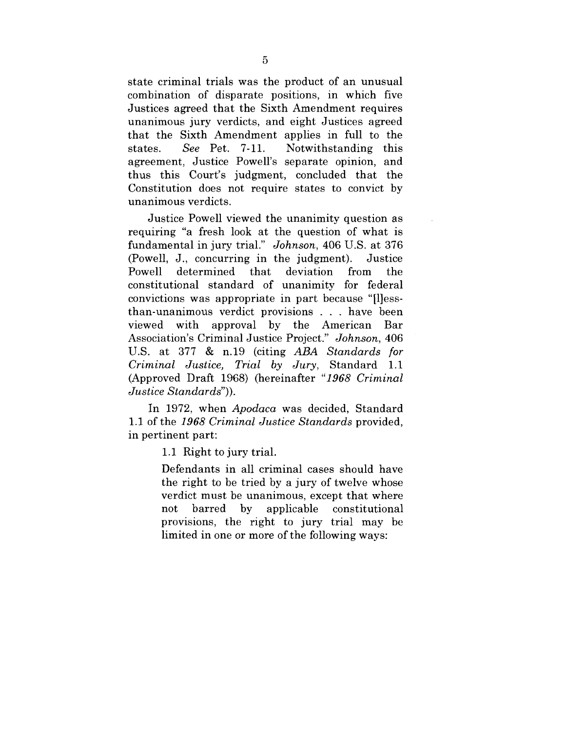state criminal trials was the product of an unusual combination of disparate positions, in which five Justices agreed that the Sixth Amendment requires unanimous jury verdicts, and eight Justices agreed that the Sixth Amendment applies in full to the states. *See* Pet. 7-11. Notwithstanding this agreement, Justice Powell's separate opinion, and thus this Court's judgment, concluded that the Constitution does not require states to convict by unanimous verdicts.

Justice Powell viewed the unanimity question as requiring "a fresh look at the question of what is fundamental in jury trial." *Johnson,* 406 U.S. at 376 (Powell, J., concurring in the judgment). Justice Powell determined that deviation from the constitutional standard of unanimity for federal convictions was appropriate in part because "[1lessthan-unanimous verdict provisions . have been viewed with approval by the American Bar Association's Criminal Justice Project." *Johnson,* 406 U.S. at 377 & n.19 (citing *ABA Standards for Criminal Justice, Trial by Jury,* Standard 1.1 (Approved Draft 1968) (hereinafter *"1968 Criminal Justice Standards")).*

In 1972, when *Apodaca* was decided, Standard 1.1 of the *1968 Criminal Justice Standards* provided, in pertinent part:

1.1 Right to jury trial.

Defendants in all criminal cases should have the right to be tried by a jury of twelve whose verdict must be unanimous, except that where not barred by applicable constitutional provisions, the right to jury trial may be limited in one or more of the following ways: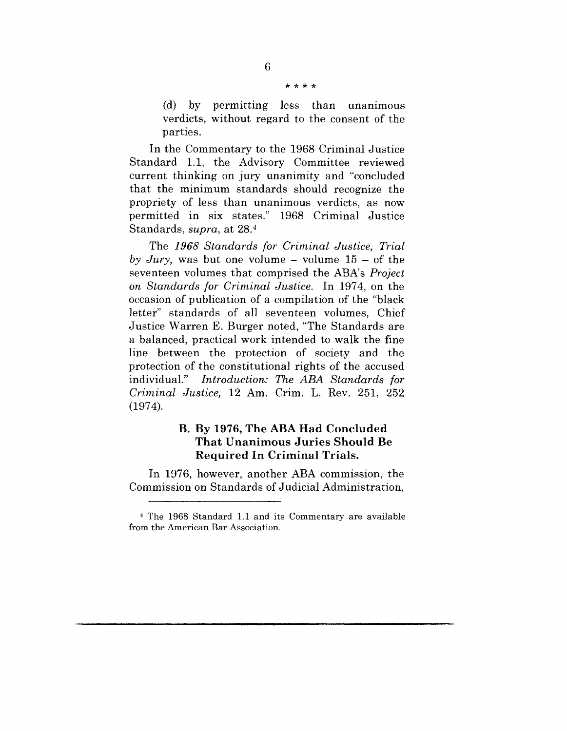#### \* \* \* \*

 $(d)$  by permitting less than unanimous verdicts, without regard to the consent of the parties.

In the Commentary to the 1968 Criminal Justice Standard 1.1, the Advisory Committee reviewed current thinking on jury unanimity and "concluded that the minimum standards should recognize the propriety of less than unanimous verdicts, as now permitted in six states." 1968 Criminal Justice Standards, *supra,* at 28.4

The *1968 Standards for Criminal Justice, Trial by Jury*, was but one volume  $-$  volume  $15 -$  of the seventeen volumes that comprised the ABA's *Project on Standards for Criminal Justice.* In 1974, on the occasion of publication of a compilation of the "black letter" standards of all seventeen volumes, Chief Justice Warren E. Burger noted, "The Standards are a balanced, practical work intended to walk the fine line between the protection of society and the protection of the constitutional rights of the accused individual." *Introduction: The ABA Standards for Criminal Justice,* 12 Am. Crim. L. Rev. 251, 252 (1974).

#### **B. By 1976, The ABA Had Concluded That Unanimous Juries Should Be Required In Criminal Trials.**

**In 1976, however, another ABA commission, the Commission on Standards of Judicial Administration,**

<sup>4</sup> The 1968 Standard 1.1 and its Commentary are available from the American Bar Association.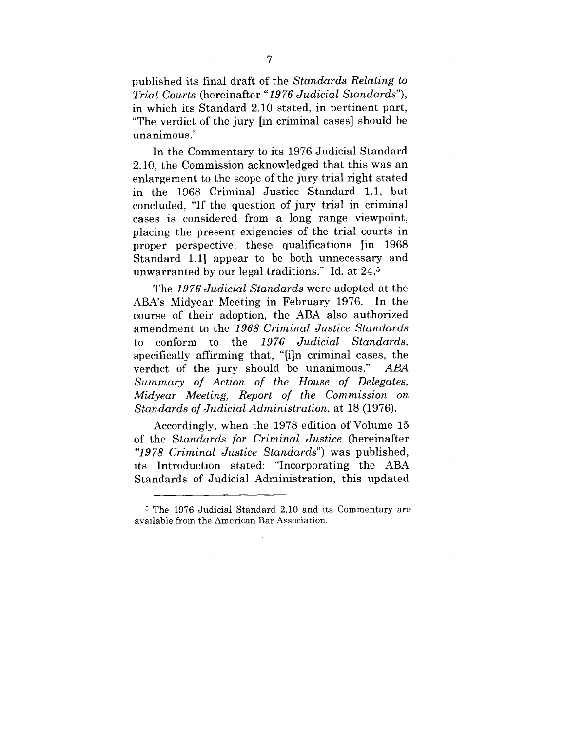published its final draft of the *Standards Relating to Trial Courts* (hereinafter *"19 76 Judicial Standards"),* in which its Standard 2.10 stated, in pertinent part, "The verdict of the jury [in criminal cases] should be unanimous."

In the Commentary to its 1976 Judicial Standard 2.10, the Commission acknowledged that this was an enlargement to the scope of the jury trial right stated in the 1968 Criminal Justice Standard 1.1, but concluded, "If the question of jury trial in criminal cases is considered from a long range viewpoint, placing the present exigencies of the trial courts in proper perspective, these qualifications [in 1968 Standard 1.1] appear to be both unnecessary and unwarranted by our legal traditions." Id. at 24.5

The *1976 Judicial Standards* were adopted at the ABA's Midyear Meeting in February 1976. In the course of their adoption, the ABA also authorized amendment to the *1968 Criminal Justice Standards* to conform to the *1976 Judicial Standards,* specifically affirming that, "[i]n criminal cases, the verdict of the jury should be unanimous." *ABA Summary of Action of the House of Delegates, Midyear Meeting, Report of the Commission on Standards of Judicial Administration,* at 18 (1976).

Accordingly, when the 1978 edition of Volume 15 of the *Standards for Criminal Justice* (hereinafter *"1978 Criminal Justice Standards")* was published, its Introduction stated: "Incorporating the ABA Standards of Judicial Administration, this updated

<sup>~</sup> The 1976 Judicial Standard 2.10 and its Commentary are available from the American Bar Association.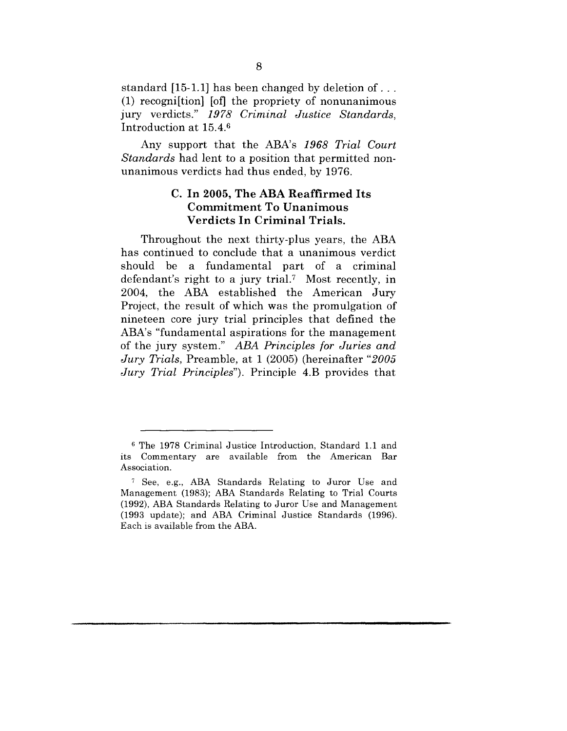standard [15-1.1] has been changed by deletion of... (1) recogni[tion] [of] the propriety of nonunanimous jury verdicts." *1978 Criminal Justice Standards,* Introduction at 15.4.6

Any support that the ABA's *1968 Trial Court Standards* had lent to a position that permitted nonunanimous verdicts had thus ended, by 1976.

#### **C. In 2005, The ABA Reaffirmed Its Commitment To Unanimous Verdicts In Criminal Trials.**

Throughout the next thirty-plus years, the ABA has continued to conclude that a unanimous verdict should be a fundamental part of a criminal defendant's right to a jury trial.7 Most recently, in 2004, the ABA established the American Jury Project, the result of which was the promulgation of nineteen core jury trial principles that defined the ABA's "fundamental aspirations for the management of the jury system." *ABA Principles for Juries and Jury Trials,* Preamble, at 1 (2005) (hereinafter *"2005 Jury Trial Principles").* Principle 4.B provides that

G The 1978 Criminal Justice Introduction, Standard 1.1 and its Commentary are available from the American Bar Association.

<sup>7</sup> See, e.g., ABA Standards Relating to Juror Use and Management (1983); ABA Standards Relating to Trial Courts (1992), ABA Standards Relating to Juror Use and Management (1993 update); and ABA Criminal Justice Standards (1996). Each is available from the ABA.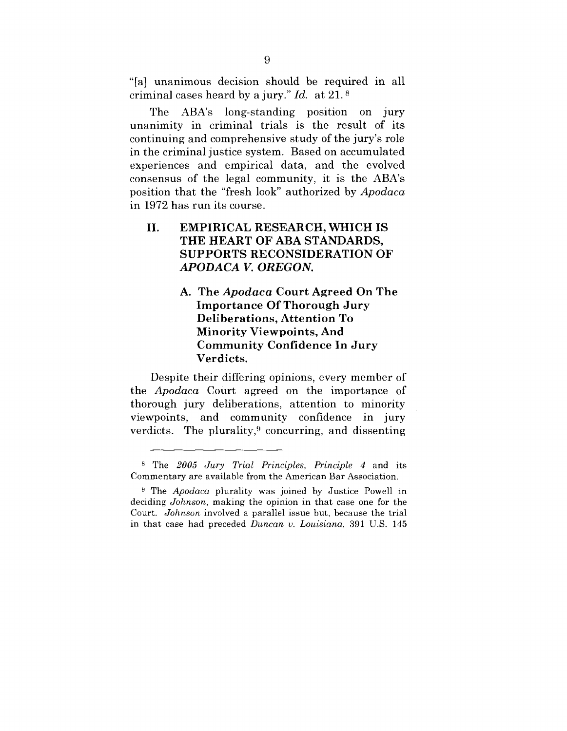"[a] unanimous decision should be required in all criminal cases heard by a jury." *Id.* at 21. s

The ABA's long-standing position on jury unanimity in criminal trials is the result of its continuing and comprehensive study of the jury's role in the criminal justice system. Based on accumulated experiences and empirical data, and the evolved consensus of the legal community, it is the ABA's position that the "fresh look" authorized by *Apodaca* in 1972 has run its course.

#### **II. EMPIRICAL RESEARCH, WHICH IS THE HEART OF ABA** STANDARDS, SUPPORTS RECONSIDERATION OF *APODACA V. OREGON.*

**A. The** *Apodaca* **Court Agreed On The Importance Of Thorough Jury Deliberations, Attention To Minority Viewpoints, And Community Confidence In Jury Verdicts.**

Despite their differing opinions, every member of the *Apodaca* Court agreed on the importance of thorough jury deliberations, attention to minority viewpoints, and community confidence in jury verdicts. The plurality,<sup>9</sup> concurring, and dissenting

s The *2005 Jury Trial Principles, Principle 4* and its Commentary are available from the American Bar Association.

<sup>&</sup>lt;sup>9</sup> The *Apodaca* plurality was joined by Justice Powell in deciding *Johnson,* making the opinion in that case one for the Court. *Johnson* involved a parallel issue but, because the trial in that case had preceded *Duncan v. Louisiana,* 391 U.S. 145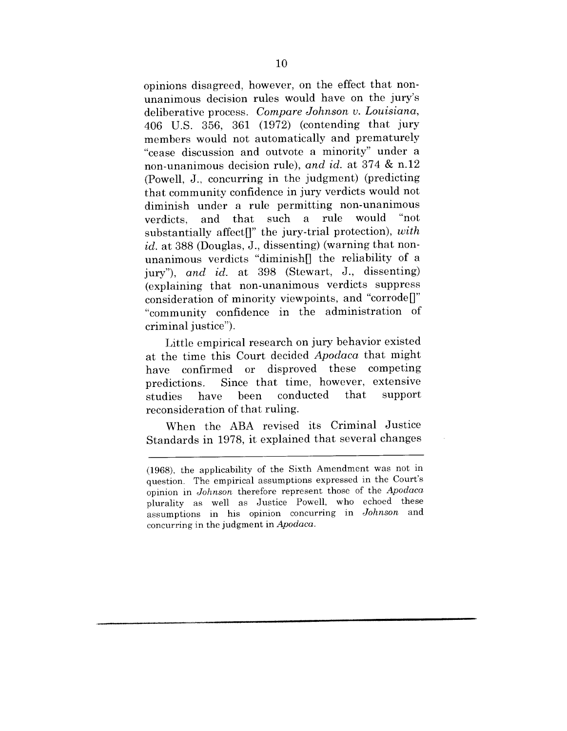opinions disagreed, however, on the effect that nonunanimous decision rules would have on the jury's deliberative process. *Compare Johnson v. Louisiana,* 406 U.S. 356, 361 (1972) (contending that jury members would not automatically and prematurely "cease discussion and outvote a minority" under a non-unanimous decision rule), *and id.* at 374 & n.12 (Powell, J., concurring in the judgment) (predicting that community confidence in jury verdicts would not diminish under a rule permitting non-unanimous<br>verdicts and that such a rule would "not verdicts, and that such a rule substantially affect<sup>[]"</sup> the jury-trial protection), *with* id. at 388 (Douglas, J., dissenting) (warning that nonunanimous verdicts "diminish $[$  the reliability of a jury"), *and id.* at 398 (Stewart, J., dissenting) (explaining that non-unanimous verdicts suppress consideration of minority viewpoints, and "corrode $\mathbb{R}$ " "community confidence in the administration of criminal justice").

Little empirical research on jury behavior existed at the time this Court decided *Apodaca* that might have confirmed or disproved these competing predictions. Since that time, however, extensive<br>studies have been conducted that support studies have been conducted reconsideration of that ruling.

When the ABA revised its Criminal Justice Standards in 1978, it explained that several changes

<sup>(1968),</sup> the applicability of the Sixth Amendment was not in question. The empirical assumptions expressed in the Court's opinion in *Johnson* therefore represent those of the *Apodaca* plurality as well as Justice Powell, who echoed these assumptions in his opinion concurring in *Johnson* and concurring in the judgment in *Apodaca.*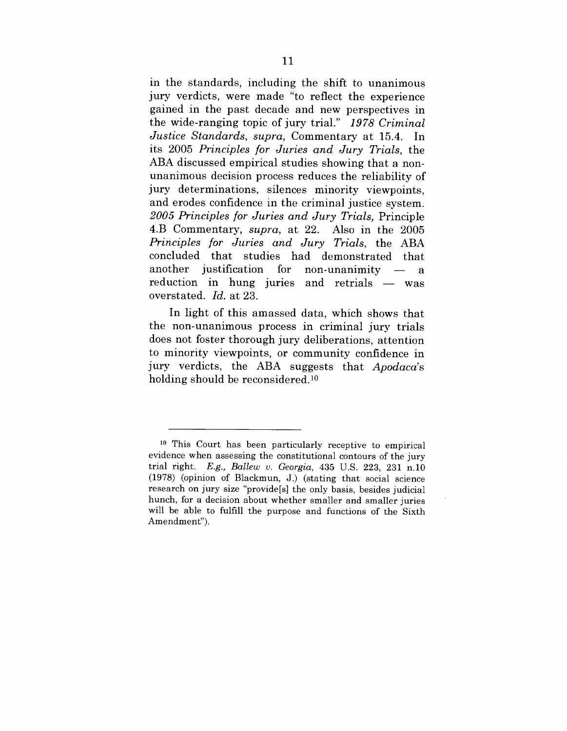in the standards, including the shift to unanimous jury verdicts, were made "to reflect the experience gained in the past decade and new perspectives in the wide-ranging topic of jury trial." *1978 Criminal Justice Standards, supra,* Commentary at 15.4. In its 2005 *Principles for Juries and Jury Trials, the* ABA discussed empirical studies showing that a nonunanimous decision process reduces the reliability of jury determinations, silences minority viewpoints, and erodes confidence in the criminal justice system. *2005 Principles for Juries and Jury Trials,* Principle 4.B Commentary, *supra,* at 22. Also in the 2005 *Principles for Juries and Jury Trials,* the ABA concluded that studies had demonstrated that another justification for non-unanimity  $\sim$   $\sim$ a reduction in hung juries and retrials  $-$  was overstated. *Id.* at 23.

In light of this amassed data, which shows that the non-unanimous process in criminal jury trials does not foster thorough jury deliberations, attention to minority viewpoints, or community confidence in jury verdicts, the ABA suggests that *Apodaca's* holding should be reconsidered.<sup>10</sup>

<sup>10</sup> This Court has been particularly receptive to empirical evidence when assessing the constitutional contours of the jury trial right. *E.g., Ballew v. Georgia,* 435 U.S. 223, 231 n.10 (1978) (opinion of Blackmun, J.) (stating that social science research on jury size "provide[s] the only basis, besides judicial hunch, for a decision about whether smaller and smaller juries will be able to fulfill the purpose and functions of the Sixth Amendment").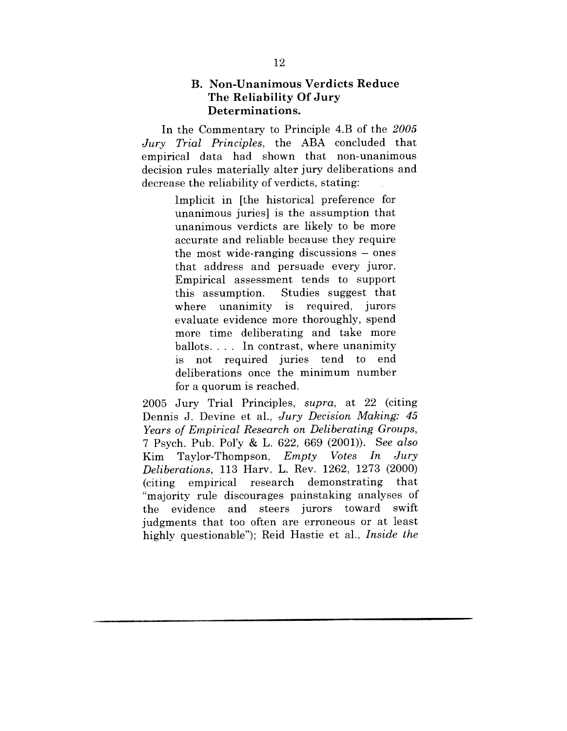#### **B. Non-Unanimous Verdicts Reduce The Reliability Of Jury Determinations.**

In the Commentary to Principle 4.B of the *2005 Jury Trial Principles,* the ABA concluded that empirical data had shown that non-unanimous decision rules materially alter jury deliberations and decrease the reliability of verdicts, stating:

> Implicit in [the historical preference for unanimous juries] is the assumption that unanimous verdicts are likely to be more accurate and reliable because they require the most wide-ranging discussions – ones that address and persuade every juror. Empirical assessment tends to support this assumption. Studies suggest that where unanimity is required, jurors evaluate evidence more thoroughly, spend more time deliberating and take more ballots. . . . In contrast, where unanimity is not required juries tend to end deliberations once the minimum number for a quorum is reached.

2005 Jury Trial Principles, *supra,* at 22 (citing Dennis J. Devine et al., *Jury Decision Making: 45 Years of Empirical Research on Deliberating Groups,* 7 Psych. Pub. Pol'y & L. 622, 669 (2001)). *See also* Kim Taylor-Thompson, *Empty Votes In Jury Deliberations,* 113 Harv. L. Rev. 1262, 1273 (2000) (citing empirical research demonstrating "majority rule discourages painstaking analyses of the evidence and steers jurors toward swift judgments that too often are erroneous or at least highly questionable"); Reid Hastie et al., *Inside the*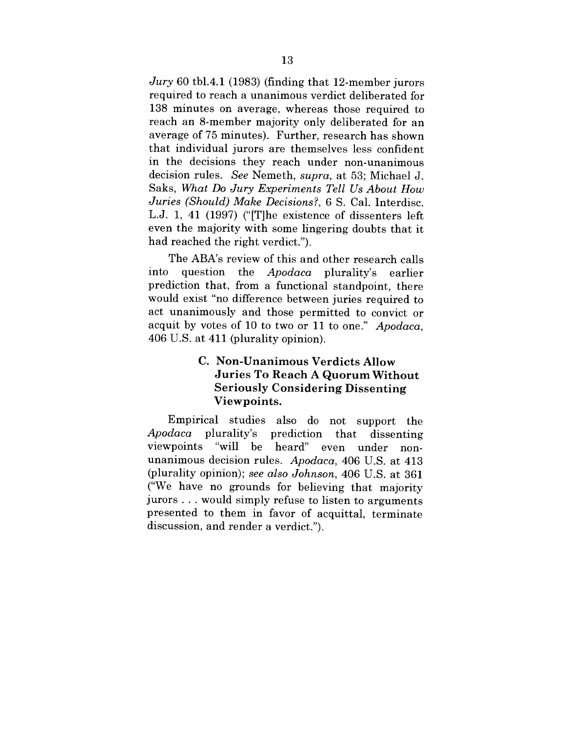*Jury* 60 tbl.4.1 (1983) (finding that 12-member jurors required to reach a unanimous verdict deliberated for 138 minutes on average, whereas those required to reach an 8-member majority only deliberated for an average of 75 minutes). Further, research has shown that individual jurors are themselves less confident in the decisions they reach under non-unanimous decision rules. *See* Nemeth, *supra,* at 53; Michael J. Saks, *What Do Jury Experiments Tell Us About How Juries (Should) Make Decisions?,* 6 S. Cal. Interdisc. L.J. 1, 41 (1997) ("[T]he existence of dissenters left even the majority with some lingering doubts that it had reached the right verdict.").

The ABA's review of this and other research calls into question the *Apodaca* plurality's earlier prediction that, from a functional standpoint, there would exist "no difference between juries required to act unanimously and those permitted to convict or acquit by votes of 10 to two or 11 to one." *Apodaca,* 406 U.S. at 411 (plurality opinion).

#### **C. Non-Unanimous Verdicts Allow Juries To Reach A Quorum Without Seriously Considering Dissenting Viewpoints.**

Empirical studies also do not support the *Apodaca* plurality's prediction that dissenting viewpoints "will be heard" even under unanimous decision rules. *Apodaca,* 406 U.S. at 413 (plurality opinion); *see also Johnson,* 406 U.S. at 361 ("We have no grounds for believing that majority jurors.., would simply refuse to listen to arguments presented to them in favor of acquittal, terminate discussion, and render a verdict.").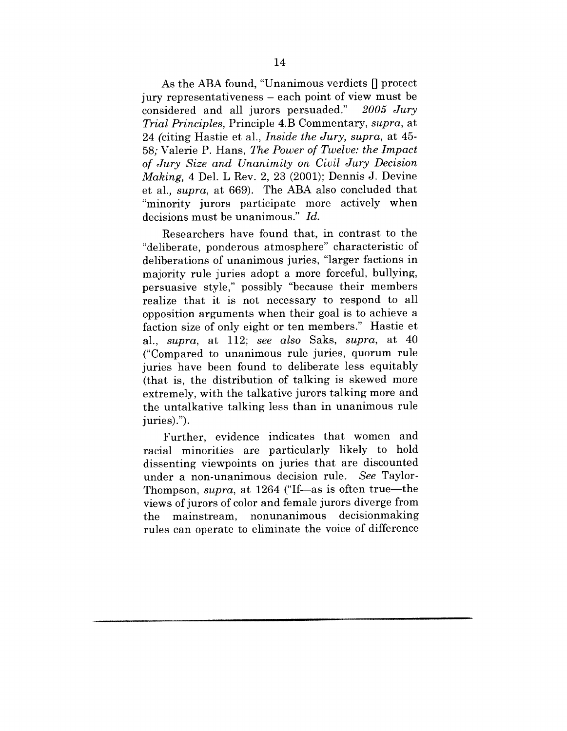As the ABA found, "Unanimous verdicts  $\left\vert \right\vert$  protect jury representativeness - each point of view must be considered and all jurors persuaded." *2005 Jury Trial Principles,* Principle 4.B Commentary, *supra,* at 24 (citing Hastie et al., *Inside the Jury, supra,* at 45- 58; Valerie P. Hans, The *Power of Twelve: the Impact of Jury Size and Unanimity on Civil Jury Decision Making,* 4 Del. L Rev. 2, 23 (2001); Dennis J. Devine et al., *supra,* at 669). The ABA also concluded that "minority jurors participate more actively when decisions must be unanimous." *Id.*

Researchers have found that, in contrast to the "deliberate, ponderous atmosphere" characteristic of deliberations of unanimous juries, "larger factions in majority rule juries adopt a more forceful, bullying, persuasive style," possibly "because their members realize that it is not necessary to respond to all opposition arguments when their goal is to achieve a faction size of only eight or ten members." Hastie et al., *supra,* at 112; *see also* Saks, *supra,* at 40 ("Compared to unanimous rule juries, quorum rule juries have been found to deliberate less equitably (that is, the distribution of talking is skewed more extremely, with the talkative jurors talking more and the untalkative talking less than in unanimous rule juries).").

Further, evidence indicates that women and racial minorities are particularly likely to hold dissenting viewpoints on juries that are discounted under a non-unanimous decision rule. *See* Taylor-Thompson, *supra*, at 1264 ("If-as is often true-the views of jurors of color and female jurors diverge from the mainstream, nonunanimous decisionmaking rules can operate to eliminate the voice of difference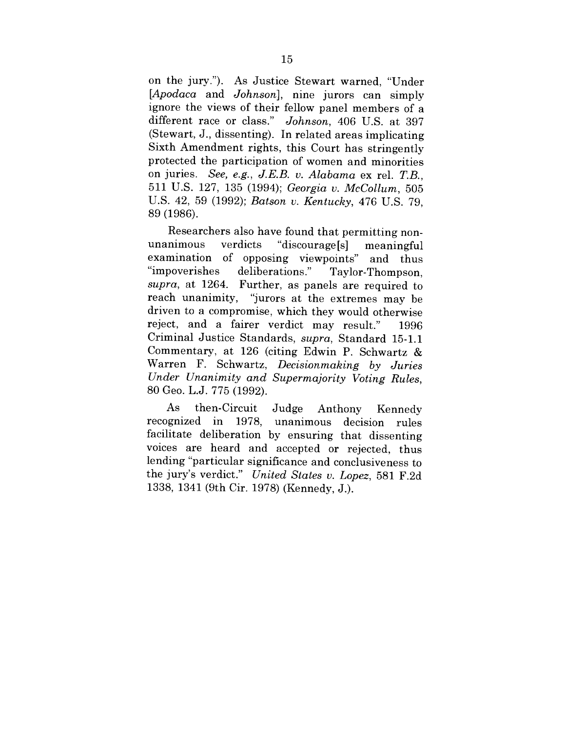on the jury."). As Justice Stewart warned, "Under *[Apodaca* and *Johnson],* nine jurors can simply ignore the views of their fellow panel members of a different race or class." *Johnson,* 406 U.S. at 397 (Stewart, J., dissenting). In related areas implicating Sixth Amendment rights, this Court has stringently protected the participation of women and minorities on juries. *See, e.g., J.E.B. v. Alabama* ex rel. *T.B.,* 511 U.S. 127, 135 (1994); *Georgia v. McCollum,* 505 U.S. 42, 59 (1992); *Batson v. Kentucky,* 476 U.S. 79, 89 (1986).

Researchers also have found that permitting nonunanimous verdicts "discourage<sup>[s]</sup> meaningful examination of opposing viewpoints" and thus "impoverishes deliberations." Taylor-Thompson, *supra,* at 1264. Further, as panels are required to reach unanimity, "jurors at the extremes may be driven to a compromise, which they would otherwise reject, and a fairer verdict may result." 1996 Criminal Justice Standards, *supra,* Standard 15-1.1 Commentary, at 126 (citing Edwin P. Schwartz & Warren F. Schwartz, *Decisionmaking by Juries Under Unanimity and Supermajority Voting Rules,* 80 Geo. L.J. 775 (1992).

As then-Circuit Judge Anthony As then-Circuit Judge Anthony Kennedy<br>recognized in 1978, unanimous decision rules facilitate deliberation by ensuring that dissenting voices are heard and accepted or rejected, thus lending "particular significance and conclusiveness to the jury's verdict." *United States v. Lopez,* 581 F.2d 1338, 1341 (9th Cir. 1978) (Kennedy, J.).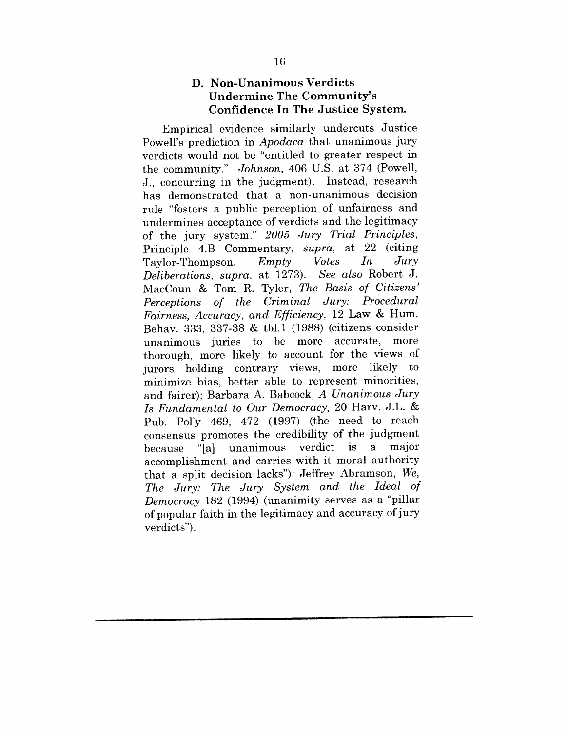### **D. Non-Unanimous Verdicts Undermine The Community's Confidence In The Justice System.**

Empirical evidence similarly undercuts Justice Powell's prediction in *Apodaca* that unanimous jury verdicts would not be "entitled to greater respect in the community." *Johnson,* 406 U.S. at 374 (Powell, J., concurring in the judgment). Instead, research has demonstrated that a non-unanimous decision rule "fosters a public perception of unfairness and undermines acceptance of verdicts and the legitimacy of the jury system." *2005 Jury Trial Principles,* Principle 4.B Commentary, *supra,* at 22 (citing Taylor-Thompson, *Empty Votes In Jury Deliberations, supra, at 1273).* MacCoun & Tom R. Tyler, The *Basis of Citizens' Perceptions of the Criminal Jury: Procedural Fairness, Accuracy, and Efficiency,* 12 Law & Hum. Behav. 333, 337-38 & tbl.1 (1988) (citizens consider unanimous juries to be more accurate, thorough, more likely to account for the views of jurors holding contrary views, more likely to minimize bias, better able to represent minorities, and fairer); Barbara A. Babcock, *A Unanimous Jury Is Fundamental to Our Democracy,* 20 Harv. J.L. & Pub. Pol'y 469, 472 (1997) (the need to reach consensus promotes the credibility of the judgment because "[a] unanimous a accomplishment and carries with it moral authority that a split decision lacks"); Jeffrey Abramson, *We, The Jury: The Jury System and the Ideal of Democracy* 182 (1994) (unanimity serves as a "pillar of popular faith in the legitimacy and accuracy of jury verdicts").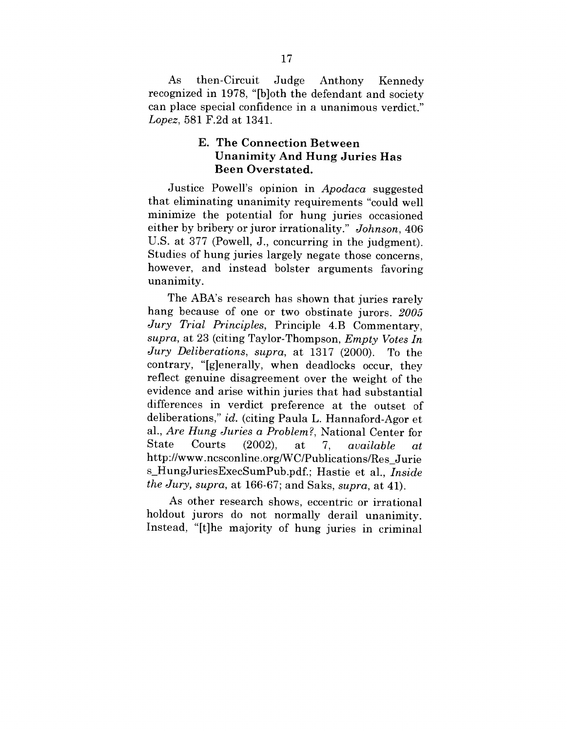As then-Circuit Judge Anthony Kennedy recognized in 1978, "[b]oth the defendant and society can place special confidence in a unanimous verdict." *Lopez,* 581 F.2d at 1341.

#### **E. The Connection Between Unanimity And Hung Juries Has Been Overstated.**

Justice Powell's opinion in *Apodaca* suggested that eliminating unanimity requirements "could well minimize the potential for hung juries occasioned either by bribery or juror irrationality." *Johnson,* 406 U.S. at 377 (Powell, J., concurring in the judgment). Studies of hung juries largely negate those concerns, however, and instead bolster arguments favoring unanimity.

The ABA's research has shown that juries rarely hang because of one or two obstinate jurors. *2005 Jury Trial Principles,* Principle 4.B Commentary, *supra,* at 23 (citing Taylor-Thompson, *Empty Votes In Jury Deliberations, supra,* at 1317 (2000). To the contrary, "[g]enerally, when deadlocks occur, they reflect genuine disagreement over the weight of the evidence and arise within juries that had substantial differences in verdict preference at the outset of deliberations," *id.* (citing Paula L. Hannaford-Agor et al., *Are Hung Juries a Problem ?,* National Center for State Courts (2002), at 7. available  $at$ http://www.ncsconline.org/WC/Publications/Res\_Jurie s\_HungJuriesExecSumPub.pdf.; Hastie et al., *Inside the Jury, supra,* at 166-67; and Saks, *supra,* at 41).

As other research shows, eccentric or irrational holdout jurors do not normally derail unanimity. Instead, "[t]he majority of hung juries in criminal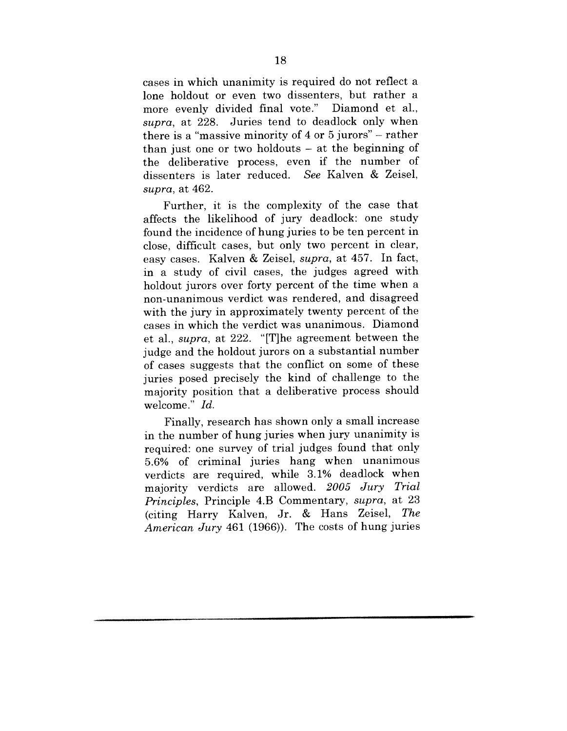cases in which unanimity is required do not reflect a lone holdout or even two dissenters, but rather a<br>more evenly divided final vote." Diamond et al. more evenly divided final vote." *supra,* at 228. Juries tend to deadlock only when there is a "massive minority of 4 or 5 jurors" - rather than just one or two holdouts  $-$  at the beginning of the deliberative process, even if the number of dissenters is later reduced. *See* Kalven & Zeisel, *supra,* at 462.

Further, it is the complexity of the case that affects the likelihood of jury deadlock: one study found the incidence of hung juries to be ten percent in close, difficult cases, but only two percent in clear, easy cases. Kalven & Zeisel, *supra,* at 457. In fact, in a study of civil cases, the judges agreed with holdout jurors over forty percent of the time when a non-unanimous verdict was rendered, and disagreed with the jury in approximately twenty percent of the cases in which the verdict was unanimous. Diamond et al., *supra,* at 222. "IT]he agreement between the judge and the holdout jurors on a substantial number of cases suggests that the conflict on some of these juries posed precisely the kind of challenge to the majority position that a deliberative process should welcome." *Id.*

Finally, research has shown only a small increase in the number of hung juries when jury unanimity is required: one survey of trial judges found that only 5.6% of criminal juries hang when unanimous verdicts are required, while 3.1% deadlock when majority verdicts are allowed. *2005 Jury Trial Principles,* Principle 4.B Commentary, *supra,* at 23 (citing Harry Kalven, Jr. & Hans Zeisel, *The American Jury* 461 (1966)). The costs of hung juries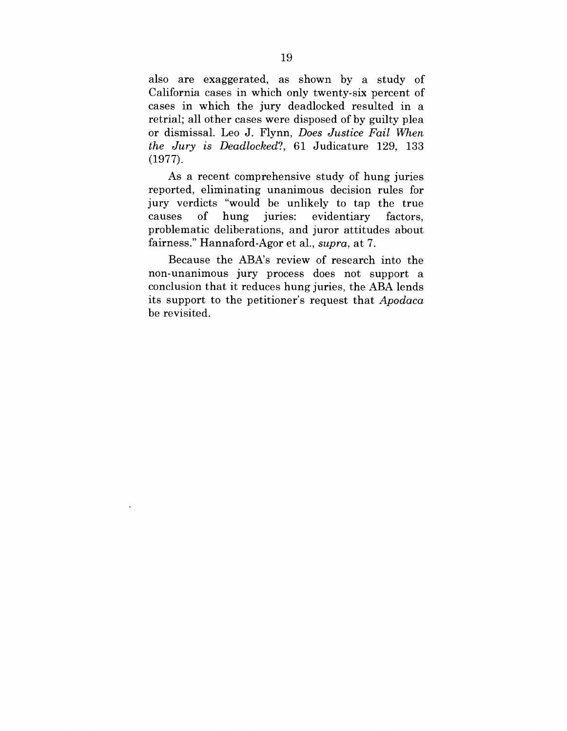also are exaggerated, as shown by a study of California cases in which only twenty-six percent of cases in which the jury deadlocked resulted in a retrial; all other cases were disposed of by guilty plea or dismissal. Leo J. Flynn, *Does Justice Fail When the Jury is Deadlocked?,* 61 Judicature 129, 133 (1977).

As a recent comprehensive study of hung juries reported, eliminating unanimous decision rules for jury verdicts "would be unlikely to tap the true causes of hung juries: evidentiary factors. problematic deliberations, and juror attitudes about fairness." Hannaford-Agor et al., *supra,* at 7.

Because the ABA's review of research into the non-unanimous jury process does not support a conclusion that it reduces hung juries, the ABA lends its support to the petitioner's request that *Apodaca* be revisited.